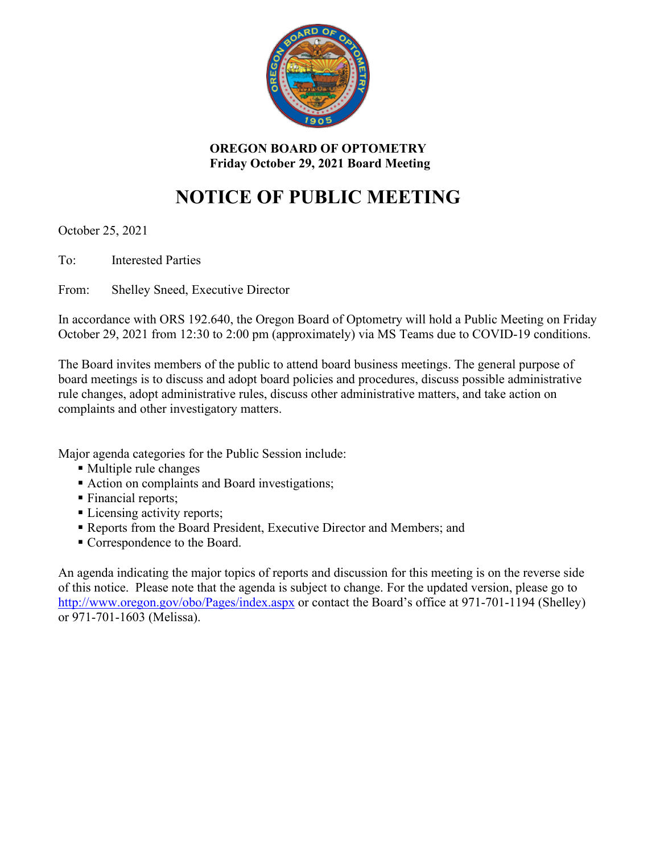

**OREGON BOARD OF OPTOMETRY Friday October 29, 2021 Board Meeting**

# **NOTICE OF PUBLIC MEETING**

October 25, 2021

To: Interested Parties

From: Shelley Sneed, Executive Director

In accordance with ORS 192.640, the Oregon Board of Optometry will hold a Public Meeting on Friday October 29, 2021 from 12:30 to 2:00 pm (approximately) via MS Teams due to COVID-19 conditions.

The Board invites members of the public to attend board business meetings. The general purpose of board meetings is to discuss and adopt board policies and procedures, discuss possible administrative rule changes, adopt administrative rules, discuss other administrative matters, and take action on complaints and other investigatory matters.

Major agenda categories for the Public Session include:

- Multiple rule changes
- Action on complaints and Board investigations;
- **Financial reports;**
- **Licensing activity reports;**
- Reports from the Board President, Executive Director and Members; and
- Correspondence to the Board.

An agenda indicating the major topics of reports and discussion for this meeting is on the reverse side of this notice. Please note that the agenda is subject to change. For the updated version, please go to <http://www.oregon.gov/obo/Pages/index.aspx> or contact the Board's office at 971-701-1194 (Shelley) or 971-701-1603 (Melissa).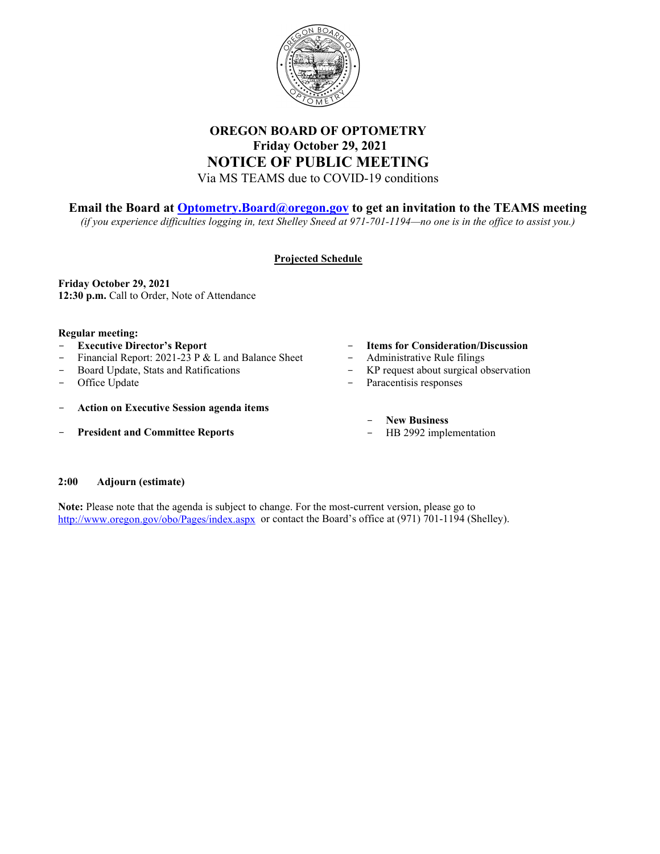

### **OREGON BOARD OF OPTOMETRY Friday October 29, 2021 NOTICE OF PUBLIC MEETING** Via MS TEAMS due to COVID-19 conditions

### **Email the Board at [Optometry.Board@oregon.gov](mailto:Optometry.Board@oregon.gov) to get an invitation to the TEAMS meeting**

*(if you experience difficulties logging in, text Shelley Sneed at 971-701-1194—no one is in the office to assist you.)*

### **Projected Schedule**

**Friday October 29, 2021 12:30 p.m.** Call to Order, Note of Attendance

#### **Regular meeting:**

- **Executive Director's Report**
- Financial Report: 2021-23 P & L and Balance Sheet
- Board Update, Stats and Ratifications
- Office Update
- **Action on Executive Session agenda items**
- **President and Committee Reports**
- **Items for Consideration/Discussion**
- Administrative Rule filings
- KP request about surgical observation
- Paracentisis responses
	- **New Business**
	- HB 2992 implementation

#### **2:00 Adjourn (estimate)**

**Note:** Please note that the agenda is subject to change. For the most-current version, please go to <http://www.oregon.gov/obo/Pages/index.aspx> or contact the Board's office at (971) 701-1194 (Shelley).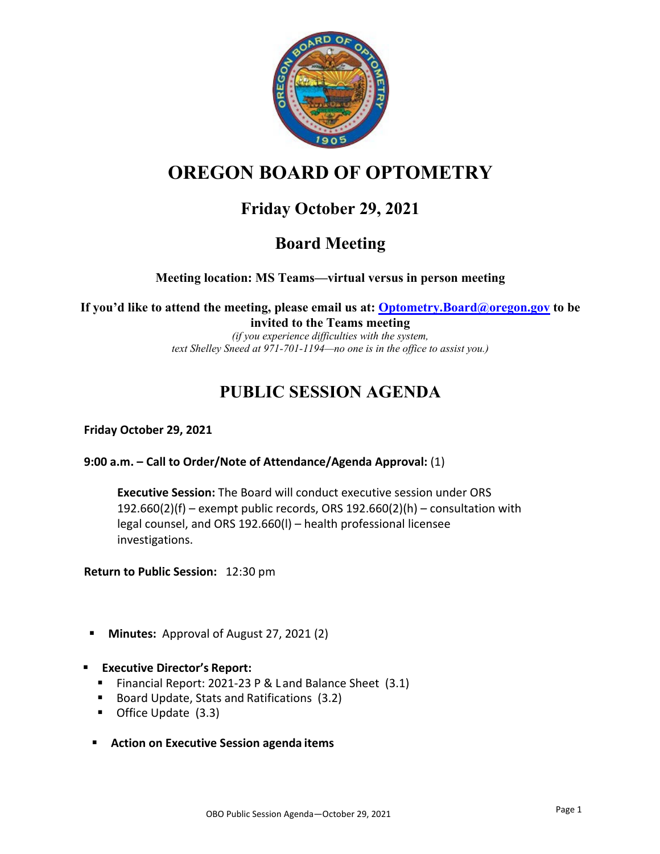

# **OREGON BOARD OF OPTOMETRY**

## **Friday October 29, 2021**

### **Board Meeting**

**Meeting location: MS Teams—virtual versus in person meeting** 

**If you'd like to attend the meeting, please email us at: Optometry.Board@oregon.gov to be invited to the Teams meeting**

*(if you experience difficulties with the system, text Shelley Sneed at 971-701-1194—no one is in the office to assist you.)* 

## **PUBLIC SESSION AGENDA**

### **Friday October 29, 2021**

### **9:00 a.m. – Call to Order/Note of Attendance/Agenda Approval:** (1)

**Executive Session:** The Board will conduct executive session under ORS 192.660(2)(f) – exempt public records, ORS 192.660(2)(h) – consultation with legal counsel, and ORS 192.660(l) – health professional licensee investigations.

**Return to Public Session:** 12:30 pm

- **Minutes:** Approval of August 27, 2021 (2)
- **Executive Director's Report:** 
	- Financial Report: 2021-23 P & Land Balance Sheet (3.1)
	- Board Update, Stats and Ratifications (3.2)
	- Office Update (3.3)
	- **Action on Executive Session agenda items**